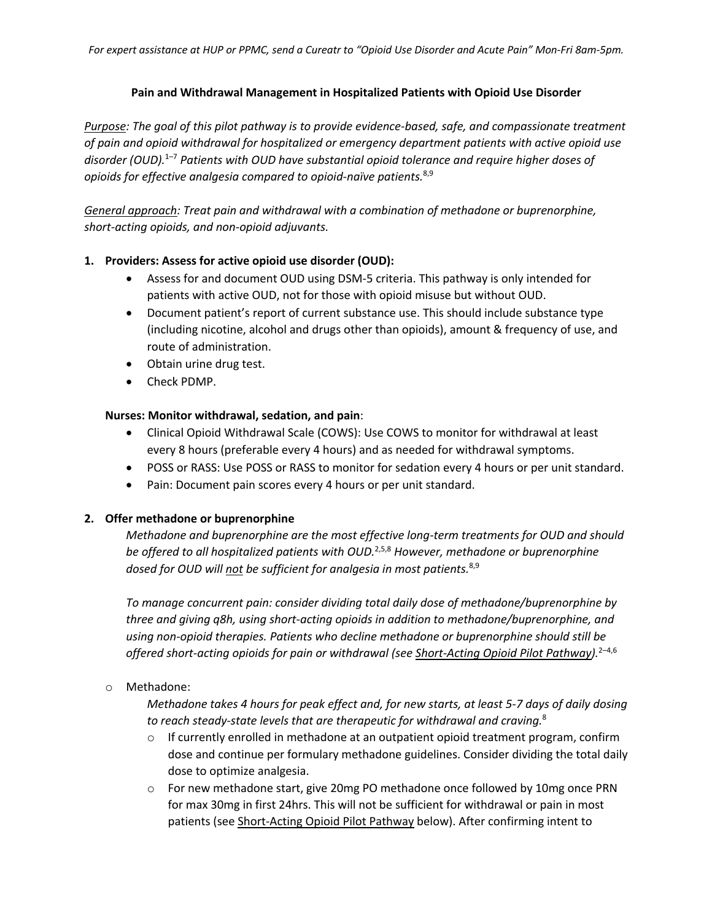## **Pain and Withdrawal Management in Hospitalized Patients with Opioid Use Disorder**

*Purpose: The goal of this pilot pathway is to provide evidence-based, safe, and compassionate treatment of pain and opioid withdrawal for hospitalized or emergency department patients with active opioid use disorder (OUD).* 1–7 *Patients with OUD have substantial opioid tolerance and require higher doses of opioids for effective analgesia compared to opioid-naïve patients.*8,9

*General approach: Treat pain and withdrawal with a combination of methadone or buprenorphine, short-acting opioids, and non-opioid adjuvants.*

## **1. Providers: Assess for active opioid use disorder (OUD):**

- Assess for and document OUD using DSM-5 criteria. This pathway is only intended for patients with active OUD, not for those with opioid misuse but without OUD.
- Document patient's report of current substance use. This should include substance type (including nicotine, alcohol and drugs other than opioids), amount & frequency of use, and route of administration.
- Obtain urine drug test.
- Check PDMP.

## **Nurses: Monitor withdrawal, sedation, and pain**:

- Clinical Opioid Withdrawal Scale (COWS): Use COWS to monitor for withdrawal at least every 8 hours (preferable every 4 hours) and as needed for withdrawal symptoms.
- POSS or RASS: Use POSS or RASS to monitor for sedation every 4 hours or per unit standard.
- Pain: Document pain scores every 4 hours or per unit standard.

## **2. Offer methadone or buprenorphine**

*Methadone and buprenorphine are the most effective long-term treatments for OUD and should be offered to all hospitalized patients with OUD.* 2,5,8 *However, methadone or buprenorphine dosed for OUD will not be sufficient for analgesia in most patients.*8,9

*To manage concurrent pain: consider dividing total daily dose of methadone/buprenorphine by three and giving q8h, using short-acting opioids in addition to methadone/buprenorphine, and using non-opioid therapies. Patients who decline methadone or buprenorphine should still be offered short-acting opioids for pain or withdrawal (see Short-Acting Opioid Pilot Pathway).*2–4,6

o Methadone:

*Methadone takes 4 hours for peak effect and, for new starts, at least 5-7 days of daily dosing to reach steady-state levels that are therapeutic for withdrawal and craving.* 8

- $\circ$  If currently enrolled in methadone at an outpatient opioid treatment program, confirm dose and continue per formulary methadone guidelines. Consider dividing the total daily dose to optimize analgesia.
- $\circ$  For new methadone start, give 20mg PO methadone once followed by 10mg once PRN for max 30mg in first 24hrs. This will not be sufficient for withdrawal or pain in most patients (see Short-Acting Opioid Pilot Pathway below). After confirming intent to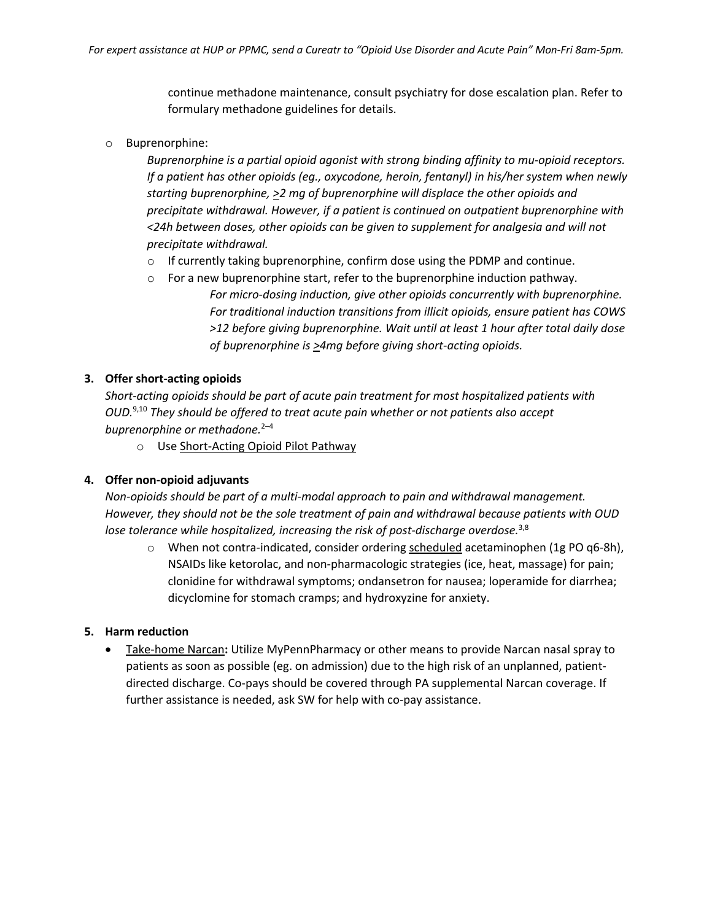continue methadone maintenance, consult psychiatry for dose escalation plan. Refer to formulary methadone guidelines for details.

o Buprenorphine:

*Buprenorphine is a partial opioid agonist with strong binding affinity to mu-opioid receptors. If a patient has other opioids (eg., oxycodone, heroin, fentanyl) in his/her system when newly starting buprenorphine, >2 mg of buprenorphine will displace the other opioids and precipitate withdrawal. However, if a patient is continued on outpatient buprenorphine with <24h between doses, other opioids can be given to supplement for analgesia and will not precipitate withdrawal.*

- o If currently taking buprenorphine, confirm dose using the PDMP and continue.
- o For a new buprenorphine start, refer to the buprenorphine induction pathway. *For micro-dosing induction, give other opioids concurrently with buprenorphine. For traditional induction transitions from illicit opioids, ensure patient has COWS >12 before giving buprenorphine. Wait until at least 1 hour after total daily dose of buprenorphine is >4mg before giving short-acting opioids.*

### **3. Offer short-acting opioids**

*Short-acting opioids should be part of acute pain treatment for most hospitalized patients with OUD.*9,10 *They should be offered to treat acute pain whether or not patients also accept buprenorphine or methadone.*2–4

o Use Short-Acting Opioid Pilot Pathway

#### **4. Offer non-opioid adjuvants**

*Non-opioids should be part of a multi-modal approach to pain and withdrawal management. However, they should not be the sole treatment of pain and withdrawal because patients with OUD lose tolerance while hospitalized, increasing the risk of post-discharge overdose.*3,8

 $\circ$  When not contra-indicated, consider ordering scheduled acetaminophen (1g PO q6-8h), NSAIDs like ketorolac, and non-pharmacologic strategies (ice, heat, massage) for pain; clonidine for withdrawal symptoms; ondansetron for nausea; loperamide for diarrhea; dicyclomine for stomach cramps; and hydroxyzine for anxiety.

#### **5. Harm reduction**

• Take-home Narcan**:** Utilize MyPennPharmacy or other means to provide Narcan nasal spray to patients as soon as possible (eg. on admission) due to the high risk of an unplanned, patientdirected discharge. Co-pays should be covered through PA supplemental Narcan coverage. If further assistance is needed, ask SW for help with co-pay assistance.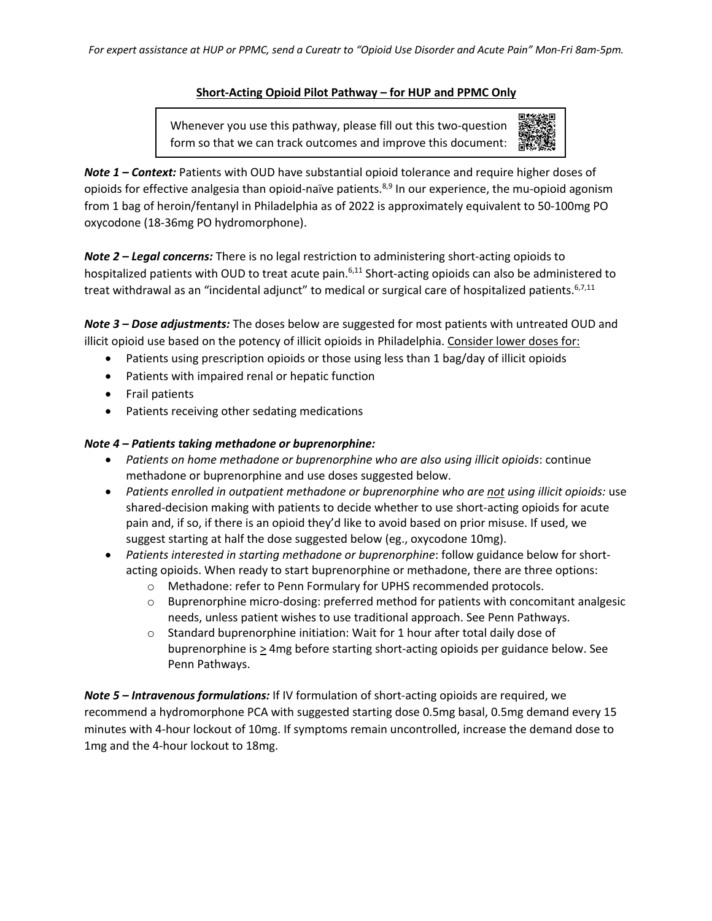## **Short-Acting Opioid Pilot Pathway – for HUP and PPMC Only**

 form so that we can track outcomes and improve this document:Whenever you use this pathway, please fill out this two-question



*Note 1 – Context:* Patients with OUD have substantial opioid tolerance and require higher doses of opioids for effective analgesia than opioid-naïve patients.<sup>8,9</sup> In our experience, the mu-opioid agonism from 1 bag of heroin/fentanyl in Philadelphia as of 2022 is approximately equivalent to 50-100mg PO oxycodone (18-36mg PO hydromorphone).

*Note 2 – Legal concerns:* There is no legal restriction to administering short-acting opioids to hospitalized patients with OUD to treat acute pain.<sup>6,11</sup> Short-acting opioids can also be administered to treat withdrawal as an "incidental adjunct" to medical or surgical care of hospitalized patients. 6,7,11

*Note 3 – Dose adjustments:* The doses below are suggested for most patients with untreated OUD and illicit opioid use based on the potency of illicit opioids in Philadelphia. Consider lower doses for:

- Patients using prescription opioids or those using less than 1 bag/day of illicit opioids
- Patients with impaired renal or hepatic function
- Frail patients
- Patients receiving other sedating medications

# *Note 4 – Patients taking methadone or buprenorphine:*

- *Patients on home methadone or buprenorphine who are also using illicit opioids*: continue methadone or buprenorphine and use doses suggested below.
- *Patients enrolled in outpatient methadone or buprenorphine who are not using illicit opioids:* use shared-decision making with patients to decide whether to use short-acting opioids for acute pain and, if so, if there is an opioid they'd like to avoid based on prior misuse. If used, we suggest starting at half the dose suggested below (eg., oxycodone 10mg).
- *Patients interested in starting methadone or buprenorphine*: follow guidance below for shortacting opioids. When ready to start buprenorphine or methadone, there are three options:
	- o Methadone: refer to Penn Formulary for UPHS recommended protocols.
	- $\circ$  Buprenorphine micro-dosing: preferred method for patients with concomitant analgesic needs, unless patient wishes to use traditional approach. See Penn Pathways.
	- o Standard buprenorphine initiation: Wait for 1 hour after total daily dose of buprenorphine is > 4mg before starting short-acting opioids per guidance below. See Penn Pathways.

*Note 5 – Intravenous formulations:* If IV formulation of short-acting opioids are required, we recommend a hydromorphone PCA with suggested starting dose 0.5mg basal, 0.5mg demand every 15 minutes with 4-hour lockout of 10mg. If symptoms remain uncontrolled, increase the demand dose to 1mg and the 4-hour lockout to 18mg.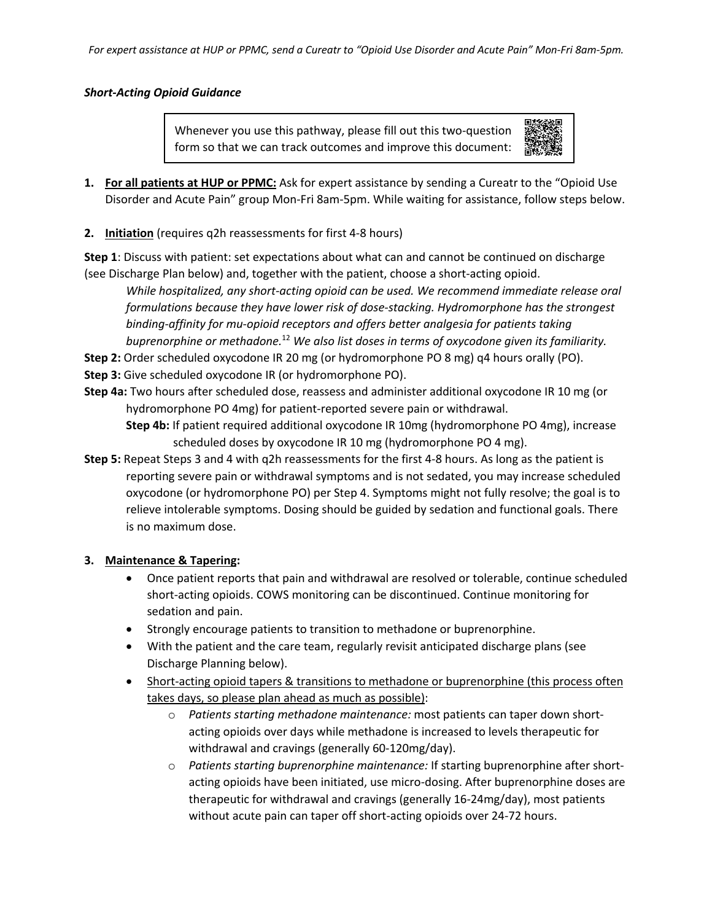*For expert assistance at HUP or PPMC, send a Cureatr to "Opioid Use Disorder and Acute Pain" Mon-Fri 8am-5pm.*

## *Short-Acting Opioid Guidance*

 form so that we can track outcomes and improve this document:Whenever you use this pathway, please fill out this two-question



- **1. For all patients at HUP or PPMC:** Ask for expert assistance by sending a Cureatr to the "Opioid Use Disorder and Acute Pain" group Mon-Fri 8am-5pm. While waiting for assistance, follow steps below.
- **2. Initiation** (requires q2h reassessments for first 4-8 hours)

**Step 1**: Discuss with patient: set expectations about what can and cannot be continued on discharge (see Discharge Plan below) and, together with the patient, choose a short-acting opioid.

*While hospitalized, any short-acting opioid can be used. We recommend immediate release oral formulations because they have lower risk of dose-stacking. Hydromorphone has the strongest binding-affinity for mu-opioid receptors and offers better analgesia for patients taking buprenorphine or methadone.*<sup>12</sup> *We also list doses in terms of oxycodone given its familiarity.* 

**Step 2:** Order scheduled oxycodone IR 20 mg (or hydromorphone PO 8 mg) q4 hours orally (PO). **Step 3:** Give scheduled oxycodone IR (or hydromorphone PO).

**Step 4a:** Two hours after scheduled dose, reassess and administer additional oxycodone IR 10 mg (or hydromorphone PO 4mg) for patient-reported severe pain or withdrawal.

**Step 4b:** If patient required additional oxycodone IR 10mg (hydromorphone PO 4mg), increase scheduled doses by oxycodone IR 10 mg (hydromorphone PO 4 mg).

**Step 5:** Repeat Steps 3 and 4 with q2h reassessments for the first 4-8 hours. As long as the patient is reporting severe pain or withdrawal symptoms and is not sedated, you may increase scheduled oxycodone (or hydromorphone PO) per Step 4. Symptoms might not fully resolve; the goal is to relieve intolerable symptoms. Dosing should be guided by sedation and functional goals. There is no maximum dose.

## **3. Maintenance & Tapering:**

- Once patient reports that pain and withdrawal are resolved or tolerable, continue scheduled short-acting opioids. COWS monitoring can be discontinued. Continue monitoring for sedation and pain.
- Strongly encourage patients to transition to methadone or buprenorphine.
- With the patient and the care team, regularly revisit anticipated discharge plans (see Discharge Planning below).
- Short-acting opioid tapers & transitions to methadone or buprenorphine (this process often takes days, so please plan ahead as much as possible):
	- o *Patients starting methadone maintenance:* most patients can taper down shortacting opioids over days while methadone is increased to levels therapeutic for withdrawal and cravings (generally 60-120mg/day).
	- o *Patients starting buprenorphine maintenance:* If starting buprenorphine after shortacting opioids have been initiated, use micro-dosing. After buprenorphine doses are therapeutic for withdrawal and cravings (generally 16-24mg/day), most patients without acute pain can taper off short-acting opioids over 24-72 hours.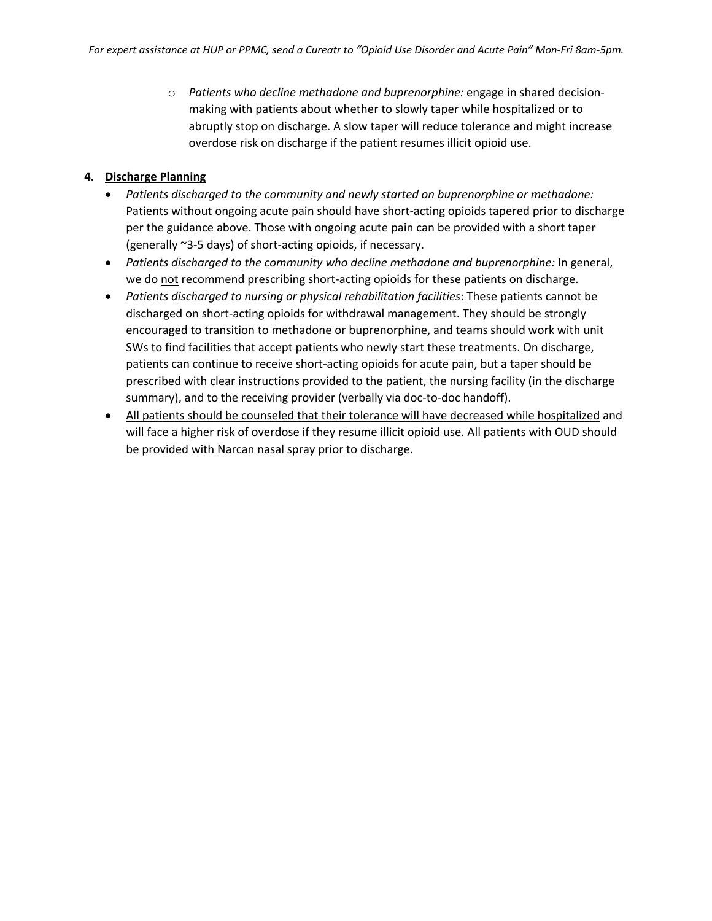o *Patients who decline methadone and buprenorphine:* engage in shared decisionmaking with patients about whether to slowly taper while hospitalized or to abruptly stop on discharge. A slow taper will reduce tolerance and might increase overdose risk on discharge if the patient resumes illicit opioid use.

# **4. Discharge Planning**

- *Patients discharged to the community and newly started on buprenorphine or methadone:* Patients without ongoing acute pain should have short-acting opioids tapered prior to discharge per the guidance above. Those with ongoing acute pain can be provided with a short taper (generally ~3-5 days) of short-acting opioids, if necessary.
- *Patients discharged to the community who decline methadone and buprenorphine:* In general, we do not recommend prescribing short-acting opioids for these patients on discharge.
- *Patients discharged to nursing or physical rehabilitation facilities*: These patients cannot be discharged on short-acting opioids for withdrawal management. They should be strongly encouraged to transition to methadone or buprenorphine, and teams should work with unit SWs to find facilities that accept patients who newly start these treatments. On discharge, patients can continue to receive short-acting opioids for acute pain, but a taper should be prescribed with clear instructions provided to the patient, the nursing facility (in the discharge summary), and to the receiving provider (verbally via doc-to-doc handoff).
- All patients should be counseled that their tolerance will have decreased while hospitalized and will face a higher risk of overdose if they resume illicit opioid use. All patients with OUD should be provided with Narcan nasal spray prior to discharge.